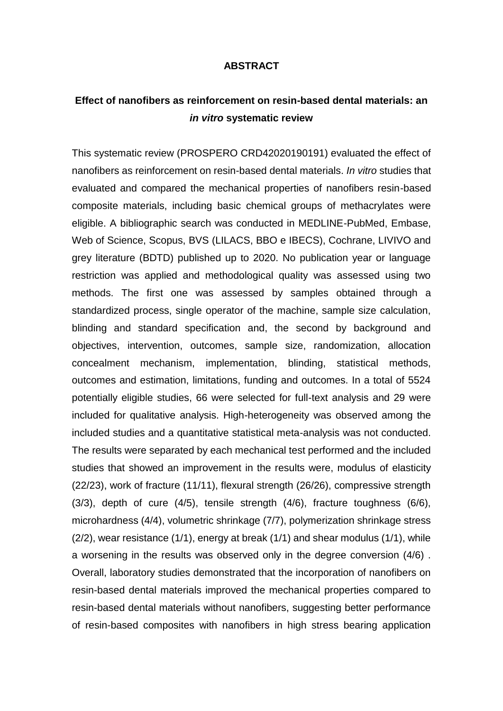## **ABSTRACT**

## **Effect of nanofibers as reinforcement on resin-based dental materials: an**  *in vitro* **systematic review**

This systematic review (PROSPERO CRD42020190191) evaluated the effect of nanofibers as reinforcement on resin-based dental materials. *In vitro* studies that evaluated and compared the mechanical properties of nanofibers resin-based composite materials, including basic chemical groups of methacrylates were eligible. A bibliographic search was conducted in MEDLINE-PubMed, Embase, Web of Science, Scopus, BVS (LILACS, BBO e IBECS), Cochrane, LIVIVO and grey literature (BDTD) published up to 2020. No publication year or language restriction was applied and methodological quality was assessed using two methods. The first one was assessed by samples obtained through a standardized process, single operator of the machine, sample size calculation, blinding and standard specification and, the second by background and objectives, intervention, outcomes, sample size, randomization, allocation concealment mechanism, implementation, blinding, statistical methods, outcomes and estimation, limitations, funding and outcomes. In a total of 5524 potentially eligible studies, 66 were selected for full-text analysis and 29 were included for qualitative analysis. High-heterogeneity was observed among the included studies and a quantitative statistical meta-analysis was not conducted. The results were separated by each mechanical test performed and the included studies that showed an improvement in the results were, modulus of elasticity (22/23), work of fracture (11/11), flexural strength (26/26), compressive strength (3/3), depth of cure (4/5), tensile strength (4/6), fracture toughness (6/6), microhardness (4/4), volumetric shrinkage (7/7), polymerization shrinkage stress (2/2), wear resistance (1/1), energy at break (1/1) and shear modulus (1/1), while a worsening in the results was observed only in the degree conversion (4/6) . Overall, laboratory studies demonstrated that the incorporation of nanofibers on resin-based dental materials improved the mechanical properties compared to resin-based dental materials without nanofibers, suggesting better performance of resin-based composites with nanofibers in high stress bearing application